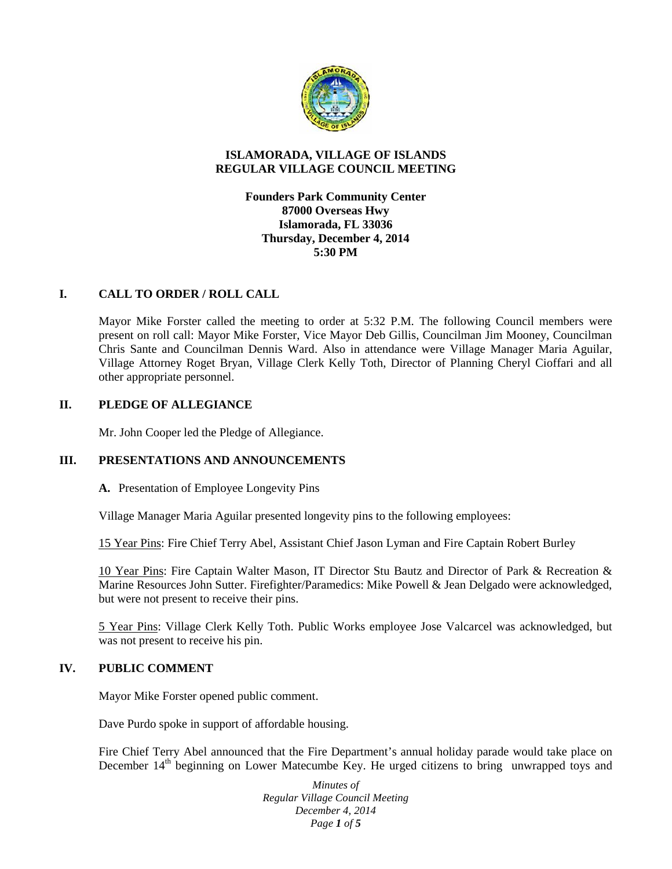

# **ISLAMORADA, VILLAGE OF ISLANDS REGULAR VILLAGE COUNCIL MEETING**

**Founders Park Community Center 87000 Overseas Hwy Islamorada, FL 33036 Thursday, December 4, 2014 5:30 PM**

# **I. CALL TO ORDER / ROLL CALL**

Mayor Mike Forster called the meeting to order at 5:32 P.M. The following Council members were present on roll call: Mayor Mike Forster, Vice Mayor Deb Gillis, Councilman Jim Mooney, Councilman Chris Sante and Councilman Dennis Ward. Also in attendance were Village Manager Maria Aguilar, Village Attorney Roget Bryan, Village Clerk Kelly Toth, Director of Planning Cheryl Cioffari and all other appropriate personnel.

# **II. PLEDGE OF ALLEGIANCE**

Mr. John Cooper led the Pledge of Allegiance.

# **III. PRESENTATIONS AND ANNOUNCEMENTS**

**A.** Presentation of Employee Longevity Pins

Village Manager Maria Aguilar presented longevity pins to the following employees:

15 Year Pins: Fire Chief Terry Abel, Assistant Chief Jason Lyman and Fire Captain Robert Burley

10 Year Pins: Fire Captain Walter Mason, IT Director Stu Bautz and Director of Park & Recreation & Marine Resources John Sutter. Firefighter/Paramedics: Mike Powell & Jean Delgado were acknowledged, but were not present to receive their pins.

5 Year Pins: Village Clerk Kelly Toth. Public Works employee Jose Valcarcel was acknowledged, but was not present to receive his pin.

## **IV. PUBLIC COMMENT**

Mayor Mike Forster opened public comment.

Dave Purdo spoke in support of affordable housing.

Fire Chief Terry Abel announced that the Fire Department's annual holiday parade would take place on December 14<sup>th</sup> beginning on Lower Matecumbe Key. He urged citizens to bring unwrapped toys and

> *Minutes of Regular Village Council Meeting December 4, 2014 Page 1 of 5*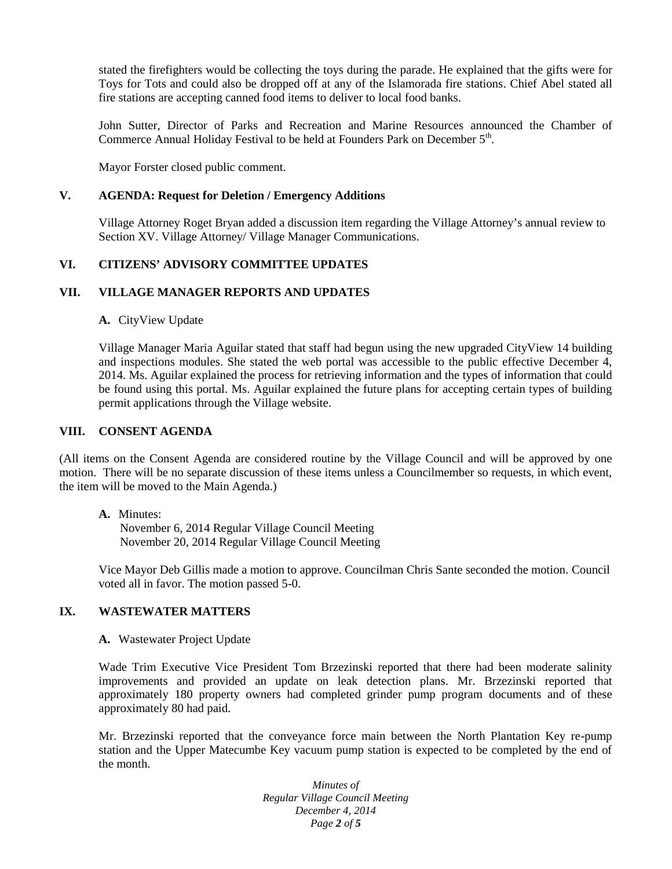stated the firefighters would be collecting the toys during the parade. He explained that the gifts were for Toys for Tots and could also be dropped off at any of the Islamorada fire stations. Chief Abel stated all fire stations are accepting canned food items to deliver to local food banks.

John Sutter, Director of Parks and Recreation and Marine Resources announced the Chamber of Commerce Annual Holiday Festival to be held at Founders Park on December 5<sup>th</sup>.

Mayor Forster closed public comment.

#### **V. AGENDA: Request for Deletion / Emergency Additions**

Village Attorney Roget Bryan added a discussion item regarding the Village Attorney's annual review to Section XV. Village Attorney/ Village Manager Communications.

# **VI. CITIZENS' ADVISORY COMMITTEE UPDATES**

## **VII. VILLAGE MANAGER REPORTS AND UPDATES**

#### **A.** CityView Update

Village Manager Maria Aguilar stated that staff had begun using the new upgraded CityView 14 building and inspections modules. She stated the web portal was accessible to the public effective December 4, 2014. Ms. Aguilar explained the process for retrieving information and the types of information that could be found using this portal. Ms. Aguilar explained the future plans for accepting certain types of building permit applications through the Village website.

## **VIII. CONSENT AGENDA**

(All items on the Consent Agenda are considered routine by the Village Council and will be approved by one motion. There will be no separate discussion of these items unless a Councilmember so requests, in which event, the item will be moved to the Main Agenda.)

#### **A.** Minutes:

November 6, 2014 Regular Village Council Meeting November 20, 2014 Regular Village Council Meeting

Vice Mayor Deb Gillis made a motion to approve. Councilman Chris Sante seconded the motion. Council voted all in favor. The motion passed 5-0.

# **IX. WASTEWATER MATTERS**

# **A.** Wastewater Project Update

Wade Trim Executive Vice President Tom Brzezinski reported that there had been moderate salinity improvements and provided an update on leak detection plans. Mr. Brzezinski reported that approximately 180 property owners had completed grinder pump program documents and of these approximately 80 had paid.

Mr. Brzezinski reported that the conveyance force main between the North Plantation Key re-pump station and the Upper Matecumbe Key vacuum pump station is expected to be completed by the end of the month.

> *Minutes of Regular Village Council Meeting December 4, 2014 Page 2 of 5*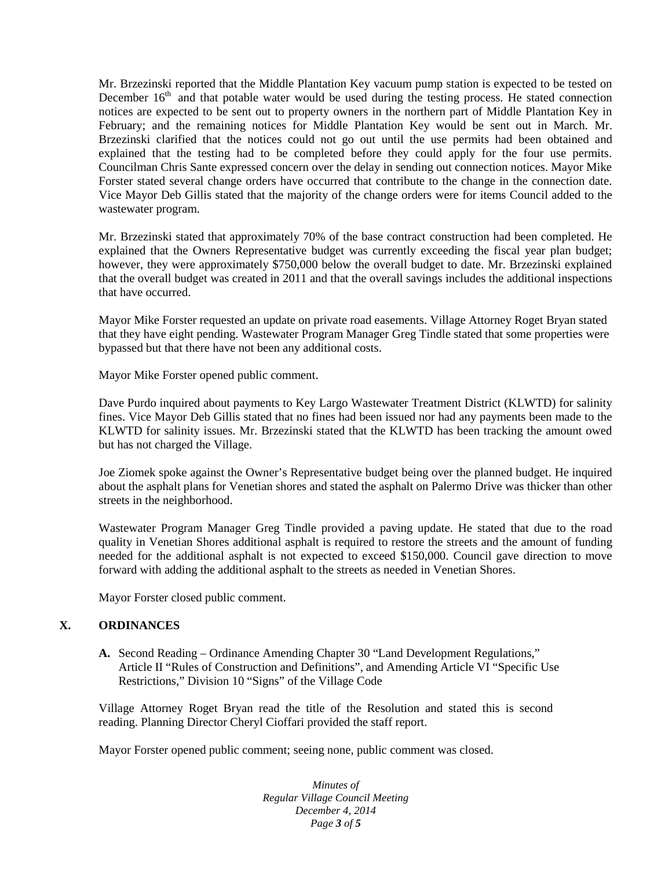Mr. Brzezinski reported that the Middle Plantation Key vacuum pump station is expected to be tested on December  $16<sup>th</sup>$  and that potable water would be used during the testing process. He stated connection notices are expected to be sent out to property owners in the northern part of Middle Plantation Key in February; and the remaining notices for Middle Plantation Key would be sent out in March. Mr. Brzezinski clarified that the notices could not go out until the use permits had been obtained and explained that the testing had to be completed before they could apply for the four use permits. Councilman Chris Sante expressed concern over the delay in sending out connection notices. Mayor Mike Forster stated several change orders have occurred that contribute to the change in the connection date. Vice Mayor Deb Gillis stated that the majority of the change orders were for items Council added to the wastewater program.

Mr. Brzezinski stated that approximately 70% of the base contract construction had been completed. He explained that the Owners Representative budget was currently exceeding the fiscal year plan budget; however, they were approximately \$750,000 below the overall budget to date. Mr. Brzezinski explained that the overall budget was created in 2011 and that the overall savings includes the additional inspections that have occurred.

Mayor Mike Forster requested an update on private road easements. Village Attorney Roget Bryan stated that they have eight pending. Wastewater Program Manager Greg Tindle stated that some properties were bypassed but that there have not been any additional costs.

Mayor Mike Forster opened public comment.

Dave Purdo inquired about payments to Key Largo Wastewater Treatment District (KLWTD) for salinity fines. Vice Mayor Deb Gillis stated that no fines had been issued nor had any payments been made to the KLWTD for salinity issues. Mr. Brzezinski stated that the KLWTD has been tracking the amount owed but has not charged the Village.

Joe Ziomek spoke against the Owner's Representative budget being over the planned budget. He inquired about the asphalt plans for Venetian shores and stated the asphalt on Palermo Drive was thicker than other streets in the neighborhood.

Wastewater Program Manager Greg Tindle provided a paving update. He stated that due to the road quality in Venetian Shores additional asphalt is required to restore the streets and the amount of funding needed for the additional asphalt is not expected to exceed \$150,000. Council gave direction to move forward with adding the additional asphalt to the streets as needed in Venetian Shores.

Mayor Forster closed public comment.

## **X. ORDINANCES**

**A.** Second Reading – Ordinance Amending Chapter 30 "Land Development Regulations," Article II "Rules of Construction and Definitions", and Amending Article VI "Specific Use Restrictions," Division 10 "Signs" of the Village Code

Village Attorney Roget Bryan read the title of the Resolution and stated this is second reading. Planning Director Cheryl Cioffari provided the staff report.

Mayor Forster opened public comment; seeing none, public comment was closed.

*Minutes of Regular Village Council Meeting December 4, 2014 Page 3 of 5*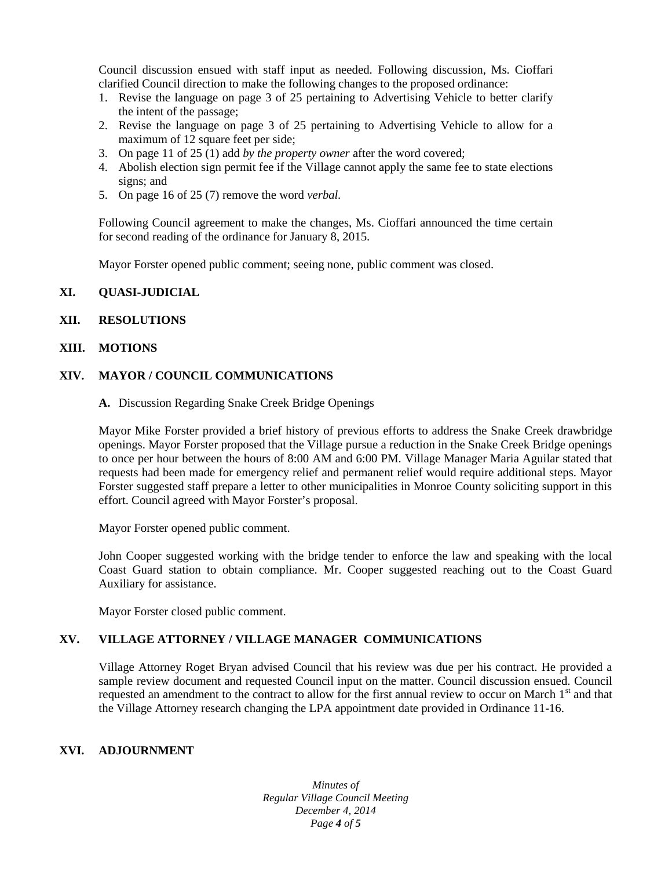Council discussion ensued with staff input as needed. Following discussion, Ms. Cioffari clarified Council direction to make the following changes to the proposed ordinance:

- 1. Revise the language on page 3 of 25 pertaining to Advertising Vehicle to better clarify the intent of the passage;
- 2. Revise the language on page 3 of 25 pertaining to Advertising Vehicle to allow for a maximum of 12 square feet per side;
- 3. On page 11 of 25 (1) add *by the property owner* after the word covered;
- 4. Abolish election sign permit fee if the Village cannot apply the same fee to state elections signs; and
- 5. On page 16 of 25 (7) remove the word *verbal.*

Following Council agreement to make the changes, Ms. Cioffari announced the time certain for second reading of the ordinance for January 8, 2015.

Mayor Forster opened public comment; seeing none, public comment was closed.

# **XI. QUASI-JUDICIAL**

## **XII. RESOLUTIONS**

#### **XIII. MOTIONS**

#### **XIV. MAYOR / COUNCIL COMMUNICATIONS**

**A.** Discussion Regarding Snake Creek Bridge Openings

Mayor Mike Forster provided a brief history of previous efforts to address the Snake Creek drawbridge openings. Mayor Forster proposed that the Village pursue a reduction in the Snake Creek Bridge openings to once per hour between the hours of 8:00 AM and 6:00 PM. Village Manager Maria Aguilar stated that requests had been made for emergency relief and permanent relief would require additional steps. Mayor Forster suggested staff prepare a letter to other municipalities in Monroe County soliciting support in this effort. Council agreed with Mayor Forster's proposal.

Mayor Forster opened public comment.

John Cooper suggested working with the bridge tender to enforce the law and speaking with the local Coast Guard station to obtain compliance. Mr. Cooper suggested reaching out to the Coast Guard Auxiliary for assistance.

Mayor Forster closed public comment.

## **XV. VILLAGE ATTORNEY / VILLAGE MANAGER COMMUNICATIONS**

Village Attorney Roget Bryan advised Council that his review was due per his contract. He provided a sample review document and requested Council input on the matter. Council discussion ensued. Council requested an amendment to the contract to allow for the first annual review to occur on March  $1<sup>st</sup>$  and that the Village Attorney research changing the LPA appointment date provided in Ordinance 11-16.

## **XVI. ADJOURNMENT**

*Minutes of Regular Village Council Meeting December 4, 2014 Page 4 of 5*